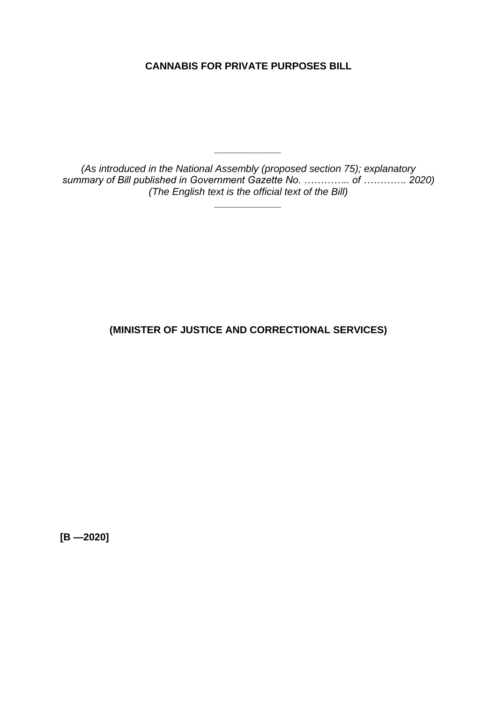**CANNABIS FOR PRIVATE PURPOSES BILL**

*(As introduced in the National Assembly (proposed section 75); explanatory summary of Bill published in Government Gazette No. ………….. of …………. 2020) (The English text is the official text of the Bill)*

*\_\_\_\_\_\_\_\_\_\_\_\_*

*\_\_\_\_\_\_\_\_\_\_\_\_*

**(MINISTER OF JUSTICE AND CORRECTIONAL SERVICES)**

**[B —2020]**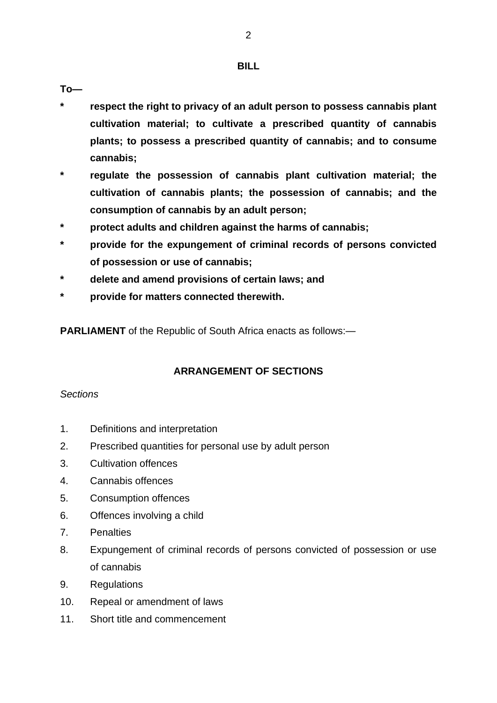#### **BILL**

**To—**

- **\* respect the right to privacy of an adult person to possess cannabis plant cultivation material; to cultivate a prescribed quantity of cannabis plants; to possess a prescribed quantity of cannabis; and to consume cannabis;**
- **\* regulate the possession of cannabis plant cultivation material; the cultivation of cannabis plants; the possession of cannabis; and the consumption of cannabis by an adult person;**
- **\* protect adults and children against the harms of cannabis;**
- **\* provide for the expungement of criminal records of persons convicted of possession or use of cannabis;**
- **\* delete and amend provisions of certain laws; and**
- **\* provide for matters connected therewith.**

**PARLIAMENT** of the Republic of South Africa enacts as follows:—

## **ARRANGEMENT OF SECTIONS**

#### *Sections*

- 1. Definitions and interpretation
- 2. Prescribed quantities for personal use by adult person
- 3. Cultivation offences
- 4. Cannabis offences
- 5. Consumption offences
- 6. Offences involving a child
- 7. Penalties
- 8. Expungement of criminal records of persons convicted of possession or use of cannabis
- 9. Regulations
- 10. Repeal or amendment of laws
- 11. Short title and commencement

2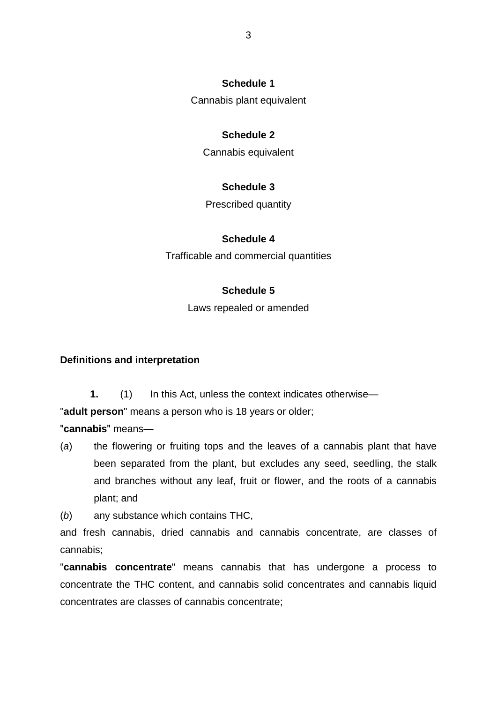#### **Schedule 1**

Cannabis plant equivalent

#### **Schedule 2**

Cannabis equivalent

#### **Schedule 3**

Prescribed quantity

#### **Schedule 4**

Trafficable and commercial quantities

#### **Schedule 5**

Laws repealed or amended

#### **Definitions and interpretation**

**1.** (1) In this Act, unless the context indicates otherwise—

"**adult person**" means a person who is 18 years or older;

ʺ**cannabis**ʺ means—

(*a*) the flowering or fruiting tops and the leaves of a cannabis plant that have been separated from the plant, but excludes any seed, seedling, the stalk and branches without any leaf, fruit or flower, and the roots of a cannabis plant; and

(*b*) any substance which contains THC,

and fresh cannabis, dried cannabis and cannabis concentrate, are classes of cannabis;

"**cannabis concentrate**" means cannabis that has undergone a process to concentrate the THC content, and cannabis solid concentrates and cannabis liquid concentrates are classes of cannabis concentrate;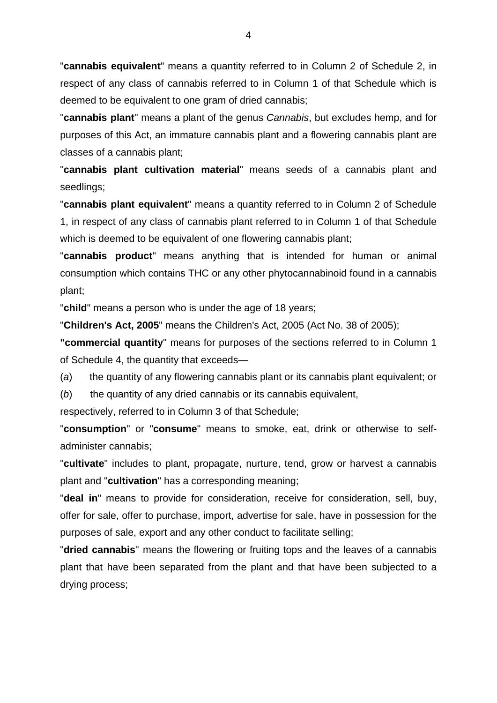"**cannabis equivalent**" means a quantity referred to in Column 2 of Schedule 2, in respect of any class of cannabis referred to in Column 1 of that Schedule which is deemed to be equivalent to one gram of dried cannabis;

"**cannabis plant**" means a plant of the genus *Cannabis*, but excludes hemp, and for purposes of this Act, an immature cannabis plant and a flowering cannabis plant are classes of a cannabis plant;

"**cannabis plant cultivation material**" means seeds of a cannabis plant and seedlings;

"**cannabis plant equivalent**" means a quantity referred to in Column 2 of Schedule 1, in respect of any class of cannabis plant referred to in Column 1 of that Schedule which is deemed to be equivalent of one flowering cannabis plant;

"**cannabis product**" means anything that is intended for human or animal consumption which contains THC or any other phytocannabinoid found in a cannabis plant;

"**child**" means a person who is under the age of 18 years;

"**Children's Act, 2005**" means the Children's Act, 2005 (Act No. 38 of 2005);

**"commercial quantity**" means for purposes of the sections referred to in Column 1 of Schedule 4, the quantity that exceeds—

(*a*) the quantity of any flowering cannabis plant or its cannabis plant equivalent; or

(*b*) the quantity of any dried cannabis or its cannabis equivalent,

respectively, referred to in Column 3 of that Schedule;

"**consumption**" or "**consume**" means to smoke, eat, drink or otherwise to selfadminister cannabis;

"**cultivate**" includes to plant, propagate, nurture, tend, grow or harvest a cannabis plant and "**cultivation**" has a corresponding meaning;

"**deal in**" means to provide for consideration, receive for consideration, sell, buy, offer for sale, offer to purchase, import, advertise for sale, have in possession for the purposes of sale, export and any other conduct to facilitate selling;

"**dried cannabis**" means the flowering or fruiting tops and the leaves of a cannabis plant that have been separated from the plant and that have been subjected to a drying process;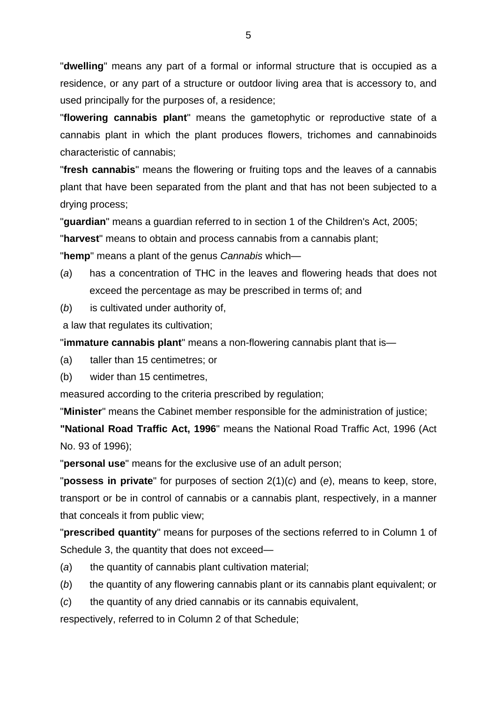"**dwelling**" means any part of a formal or informal structure that is occupied as a residence, or any part of a structure or outdoor living area that is accessory to, and used principally for the purposes of, a residence;

"**flowering cannabis plant**" means the gametophytic or reproductive state of a cannabis plant in which the plant produces flowers, trichomes and cannabinoids characteristic of cannabis;

"**fresh cannabis**" means the flowering or fruiting tops and the leaves of a cannabis plant that have been separated from the plant and that has not been subjected to a drying process;

"**guardian**" means a guardian referred to in section 1 of the Children's Act, 2005;

"**harvest**" means to obtain and process cannabis from a cannabis plant;

"**hemp**" means a plant of the genus *Cannabis* which—

- (*a*) has a concentration of THC in the leaves and flowering heads that does not exceed the percentage as may be prescribed in terms of; and
- (*b*) is cultivated under authority of,

a law that regulates its cultivation;

"**immature cannabis plant**" means a non-flowering cannabis plant that is—

(a) taller than 15 centimetres; or

(b) wider than 15 centimetres,

measured according to the criteria prescribed by regulation;

"**Minister**" means the Cabinet member responsible for the administration of justice;

**"National Road Traffic Act, 1996**" means the National Road Traffic Act, 1996 (Act No. 93 of 1996);

"**personal use**" means for the exclusive use of an adult person;

"**possess in private**" for purposes of section 2(1)(*c*) and (*e*), means to keep, store, transport or be in control of cannabis or a cannabis plant, respectively, in a manner that conceals it from public view;

"**prescribed quantity**" means for purposes of the sections referred to in Column 1 of Schedule 3, the quantity that does not exceed—

- (*a*) the quantity of cannabis plant cultivation material;
- (*b*) the quantity of any flowering cannabis plant or its cannabis plant equivalent; or
- (*c*) the quantity of any dried cannabis or its cannabis equivalent,

respectively, referred to in Column 2 of that Schedule;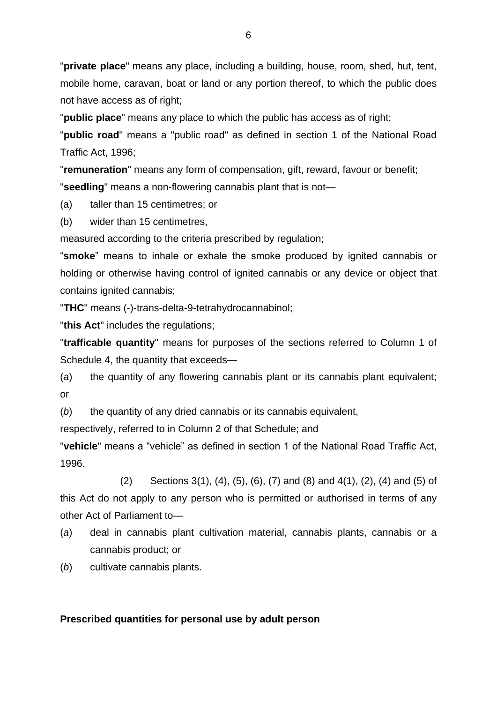"**private place**" means any place, including a building, house, room, shed, hut, tent, mobile home, caravan, boat or land or any portion thereof, to which the public does not have access as of right;

"**public place**" means any place to which the public has access as of right;

"**public road**" means a "public road" as defined in section 1 of the National Road Traffic Act, 1996;

"**remuneration**" means any form of compensation, gift, reward, favour or benefit; "**seedling**" means a non-flowering cannabis plant that is not—

(a) taller than 15 centimetres; or

(b) wider than 15 centimetres,

measured according to the criteria prescribed by regulation;

"**smoke**" means to inhale or exhale the smoke produced by ignited cannabis or holding or otherwise having control of ignited cannabis or any device or object that contains ignited cannabis;

"**THC**" means (-)-trans-delta-9-tetrahydrocannabinol;

"**this Act**" includes the regulations;

"**trafficable quantity**" means for purposes of the sections referred to Column 1 of Schedule 4, the quantity that exceeds—

(*a*) the quantity of any flowering cannabis plant or its cannabis plant equivalent; or

(*b*) the quantity of any dried cannabis or its cannabis equivalent,

respectively, referred to in Column 2 of that Schedule; and

"**vehicle**" means a "vehicle" as defined in section 1 of the National Road Traffic Act, 1996.

(2) Sections 3(1), (4), (5), (6), (7) and (8) and 4(1), (2), (4) and (5) of this Act do not apply to any person who is permitted or authorised in terms of any other Act of Parliament to—

- (*a*) deal in cannabis plant cultivation material, cannabis plants, cannabis or a cannabis product; or
- (*b*) cultivate cannabis plants.

#### **Prescribed quantities for personal use by adult person**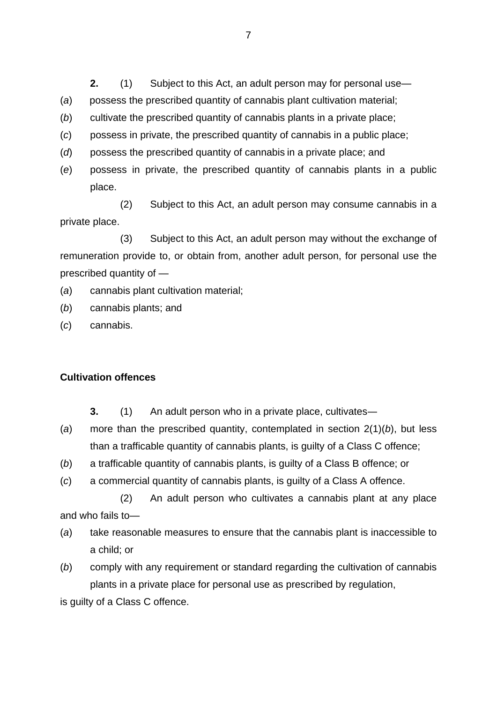**2.** (1) Subject to this Act, an adult person may for personal use—

- (*a*) possess the prescribed quantity of cannabis plant cultivation material;
- (*b*) cultivate the prescribed quantity of cannabis plants in a private place;
- (*c*) possess in private, the prescribed quantity of cannabis in a public place;
- (*d*) possess the prescribed quantity of cannabis in a private place; and
- (*e*) possess in private, the prescribed quantity of cannabis plants in a public place.

(2) Subject to this Act, an adult person may consume cannabis in a private place.

(3) Subject to this Act, an adult person may without the exchange of remuneration provide to, or obtain from, another adult person, for personal use the prescribed quantity of —

- (*a*) cannabis plant cultivation material;
- (*b*) cannabis plants; and
- (*c*) cannabis.

#### **Cultivation offences**

- **3.** (1) An adult person who in a private place, cultivates―
- (*a*) more than the prescribed quantity, contemplated in section 2(1)(*b*), but less than a trafficable quantity of cannabis plants, is guilty of a Class C offence;
- (*b*) a trafficable quantity of cannabis plants, is guilty of a Class B offence; or
- (*c*) a commercial quantity of cannabis plants, is guilty of a Class A offence.

(2) An adult person who cultivates a cannabis plant at any place and who fails to—

- (*a*) take reasonable measures to ensure that the cannabis plant is inaccessible to a child; or
- (*b*) comply with any requirement or standard regarding the cultivation of cannabis plants in a private place for personal use as prescribed by regulation,

is guilty of a Class C offence.

7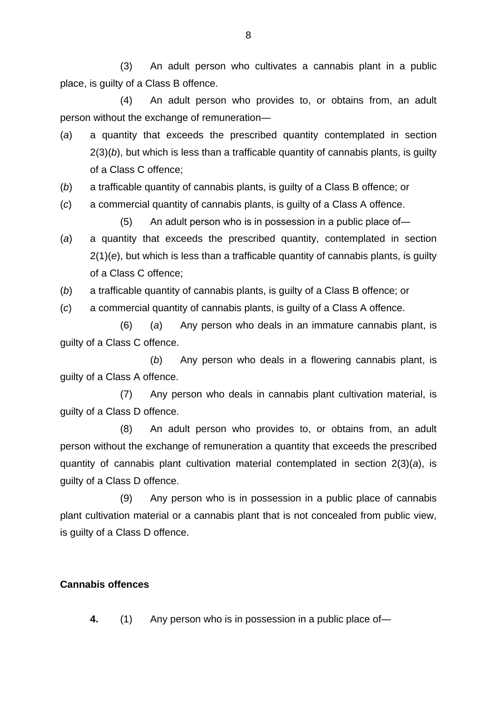(3) An adult person who cultivates a cannabis plant in a public place, is guilty of a Class B offence.

(4) An adult person who provides to, or obtains from, an adult person without the exchange of remuneration―

- (*a*) a quantity that exceeds the prescribed quantity contemplated in section 2(3)(*b*), but which is less than a trafficable quantity of cannabis plants, is guilty of a Class C offence;
- (*b*) a trafficable quantity of cannabis plants, is guilty of a Class B offence; or
- (*c*) a commercial quantity of cannabis plants, is guilty of a Class A offence.

(5) An adult person who is in possession in a public place of―

- (*a*) a quantity that exceeds the prescribed quantity, contemplated in section 2(1)(*e*), but which is less than a trafficable quantity of cannabis plants, is guilty of a Class C offence;
- (*b*) a trafficable quantity of cannabis plants, is guilty of a Class B offence; or
- (*c*) a commercial quantity of cannabis plants, is guilty of a Class A offence.

(6) (*a*) Any person who deals in an immature cannabis plant, is guilty of a Class C offence.

(*b*) Any person who deals in a flowering cannabis plant, is guilty of a Class A offence.

(7) Any person who deals in cannabis plant cultivation material, is guilty of a Class D offence.

(8) An adult person who provides to, or obtains from, an adult person without the exchange of remuneration a quantity that exceeds the prescribed quantity of cannabis plant cultivation material contemplated in section 2(3)(*a*), is guilty of a Class D offence.

(9) Any person who is in possession in a public place of cannabis plant cultivation material or a cannabis plant that is not concealed from public view, is guilty of a Class D offence.

#### **Cannabis offences**

**4.** (1) Any person who is in possession in a public place of―

8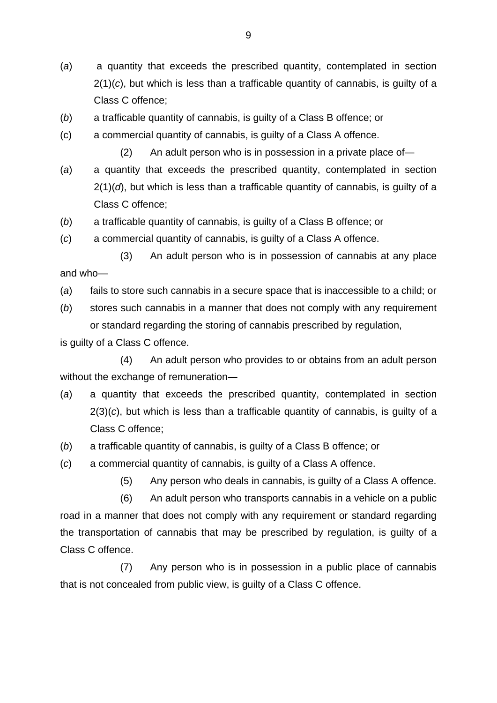- (*a*) a quantity that exceeds the prescribed quantity, contemplated in section 2(1)(*c*), but which is less than a trafficable quantity of cannabis, is guilty of a Class C offence;
- (*b*) a trafficable quantity of cannabis, is guilty of a Class B offence; or
- (c) a commercial quantity of cannabis, is guilty of a Class A offence.
	- (2) An adult person who is in possession in a private place of―
- (*a*) a quantity that exceeds the prescribed quantity, contemplated in section  $2(1)(d)$ , but which is less than a trafficable quantity of cannabis, is guilty of a Class C offence;
- (*b*) a trafficable quantity of cannabis, is guilty of a Class B offence; or
- (*c*) a commercial quantity of cannabis, is guilty of a Class A offence.
- (3) An adult person who is in possession of cannabis at any place and who—
- (*a*) fails to store such cannabis in a secure space that is inaccessible to a child; or
- (*b*) stores such cannabis in a manner that does not comply with any requirement or standard regarding the storing of cannabis prescribed by regulation,

is guilty of a Class C offence.

(4) An adult person who provides to or obtains from an adult person without the exchange of remuneration―

- (*a*) a quantity that exceeds the prescribed quantity, contemplated in section 2(3)(*c*), but which is less than a trafficable quantity of cannabis, is guilty of a Class C offence;
- (*b*) a trafficable quantity of cannabis, is guilty of a Class B offence; or
- (*c*) a commercial quantity of cannabis, is guilty of a Class A offence.
	- (5) Any person who deals in cannabis, is guilty of a Class A offence.

(6) An adult person who transports cannabis in a vehicle on a public road in a manner that does not comply with any requirement or standard regarding the transportation of cannabis that may be prescribed by regulation, is guilty of a Class C offence.

(7) Any person who is in possession in a public place of cannabis that is not concealed from public view, is guilty of a Class C offence.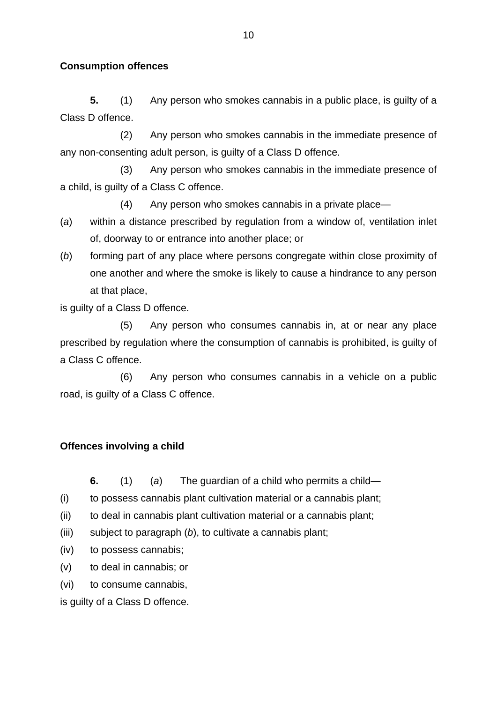#### **Consumption offences**

**5.** (1) Any person who smokes cannabis in a public place, is guilty of a Class D offence.

(2) Any person who smokes cannabis in the immediate presence of any non-consenting adult person, is guilty of a Class D offence.

(3) Any person who smokes cannabis in the immediate presence of a child, is guilty of a Class C offence.

(4) Any person who smokes cannabis in a private place—

- (*a*) within a distance prescribed by regulation from a window of, ventilation inlet of, doorway to or entrance into another place; or
- (*b*) forming part of any place where persons congregate within close proximity of one another and where the smoke is likely to cause a hindrance to any person at that place,

is guilty of a Class D offence.

(5) Any person who consumes cannabis in, at or near any place prescribed by regulation where the consumption of cannabis is prohibited, is guilty of a Class C offence.

(6) Any person who consumes cannabis in a vehicle on a public road, is guilty of a Class C offence.

#### **Offences involving a child**

**6.** (1) (*a*) The guardian of a child who permits a child—

- (i) to possess cannabis plant cultivation material or a cannabis plant;
- (ii) to deal in cannabis plant cultivation material or a cannabis plant;
- (iii) subject to paragraph (*b*), to cultivate a cannabis plant;
- (iv) to possess cannabis;
- (v) to deal in cannabis; or
- (vi) to consume cannabis,

is guilty of a Class D offence.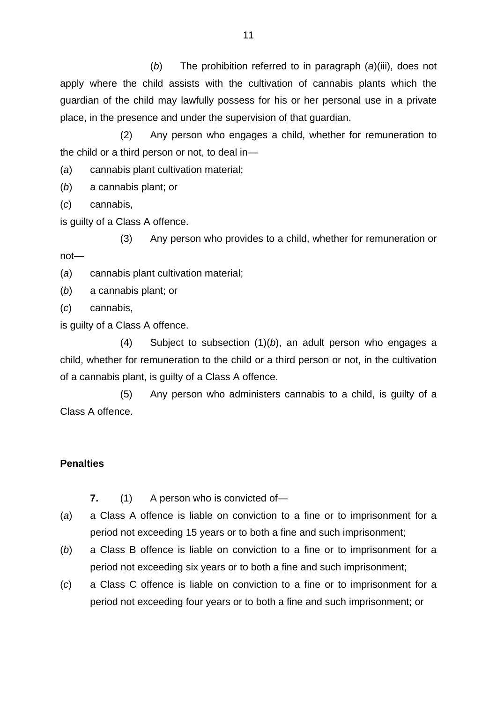(*b*) The prohibition referred to in paragraph (*a*)(iii), does not apply where the child assists with the cultivation of cannabis plants which the guardian of the child may lawfully possess for his or her personal use in a private place, in the presence and under the supervision of that guardian.

(2) Any person who engages a child, whether for remuneration to the child or a third person or not, to deal in—

(*a*) cannabis plant cultivation material;

(*b*) a cannabis plant; or

(*c*) cannabis,

is guilty of a Class A offence.

(3) Any person who provides to a child, whether for remuneration or not—

(*a*) cannabis plant cultivation material;

(*b*) a cannabis plant; or

(*c*) cannabis,

is guilty of a Class A offence.

(4) Subject to subsection (1)(*b*), an adult person who engages a child, whether for remuneration to the child or a third person or not, in the cultivation of a cannabis plant, is guilty of a Class A offence.

(5) Any person who administers cannabis to a child, is guilty of a Class A offence.

#### **Penalties**

**7.** (1) A person who is convicted of—

- (*a*) a Class A offence is liable on conviction to a fine or to imprisonment for a period not exceeding 15 years or to both a fine and such imprisonment;
- (*b*) a Class B offence is liable on conviction to a fine or to imprisonment for a period not exceeding six years or to both a fine and such imprisonment;
- (*c*) a Class C offence is liable on conviction to a fine or to imprisonment for a period not exceeding four years or to both a fine and such imprisonment; or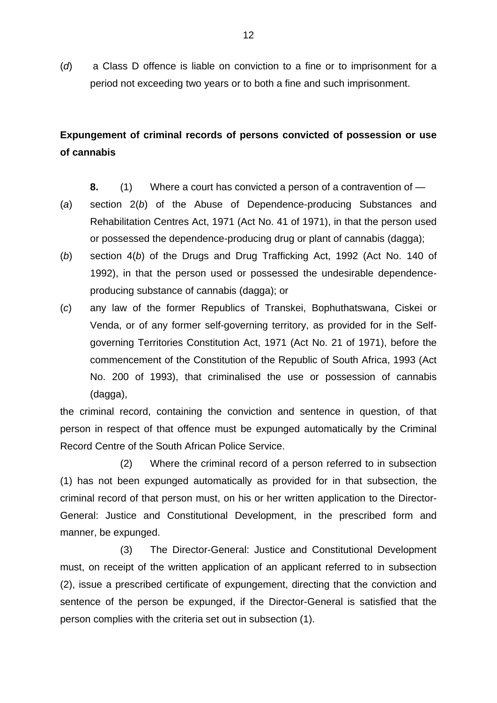(*d*) a Class D offence is liable on conviction to a fine or to imprisonment for a period not exceeding two years or to both a fine and such imprisonment.

## **Expungement of criminal records of persons convicted of possession or use of cannabis**

- **8.** (1) Where a court has convicted a person of a contravention of —
- (*a*) section 2(*b*) of the Abuse of Dependence-producing Substances and Rehabilitation Centres Act, 1971 (Act No. 41 of 1971), in that the person used or possessed the dependence-producing drug or plant of cannabis (dagga);
- (*b*) section 4(*b*) of the Drugs and Drug Trafficking Act, 1992 (Act No. 140 of 1992), in that the person used or possessed the undesirable dependenceproducing substance of cannabis (dagga); or
- (*c*) any law of the former Republics of Transkei, Bophuthatswana, Ciskei or Venda, or of any former self-governing territory, as provided for in the Selfgoverning Territories Constitution Act, 1971 (Act No. 21 of 1971), before the commencement of the Constitution of the Republic of South Africa, 1993 (Act No. 200 of 1993), that criminalised the use or possession of cannabis (dagga),

the criminal record, containing the conviction and sentence in question, of that person in respect of that offence must be expunged automatically by the Criminal Record Centre of the South African Police Service.

(2) Where the criminal record of a person referred to in subsection (1) has not been expunged automatically as provided for in that subsection, the criminal record of that person must, on his or her written application to the Director-General: Justice and Constitutional Development, in the prescribed form and manner, be expunged.

(3) The Director-General: Justice and Constitutional Development must, on receipt of the written application of an applicant referred to in subsection (2), issue a prescribed certificate of expungement, directing that the conviction and sentence of the person be expunged, if the Director-General is satisfied that the person complies with the criteria set out in subsection (1).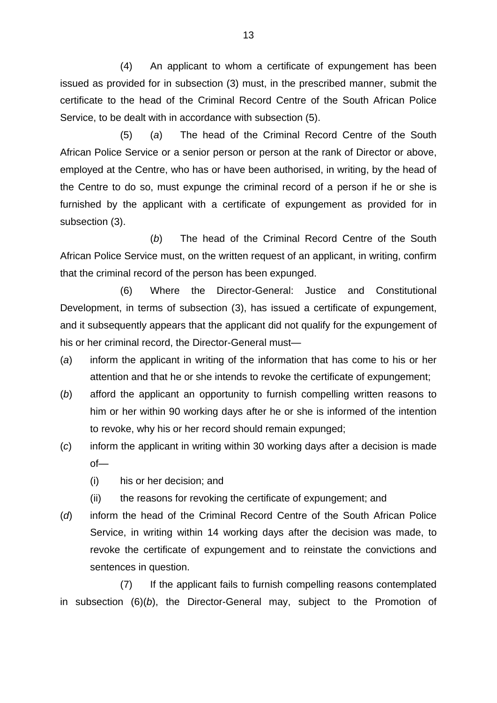(4) An applicant to whom a certificate of expungement has been issued as provided for in subsection (3) must, in the prescribed manner, submit the certificate to the head of the Criminal Record Centre of the South African Police Service, to be dealt with in accordance with subsection (5).

(5) (*a*) The head of the Criminal Record Centre of the South African Police Service or a senior person or person at the rank of Director or above, employed at the Centre, who has or have been authorised, in writing, by the head of the Centre to do so, must expunge the criminal record of a person if he or she is furnished by the applicant with a certificate of expungement as provided for in subsection (3).

(*b*) The head of the Criminal Record Centre of the South African Police Service must, on the written request of an applicant, in writing, confirm that the criminal record of the person has been expunged.

(6) Where the Director-General: Justice and Constitutional Development, in terms of subsection (3), has issued a certificate of expungement, and it subsequently appears that the applicant did not qualify for the expungement of his or her criminal record, the Director-General must—

- (*a*) inform the applicant in writing of the information that has come to his or her attention and that he or she intends to revoke the certificate of expungement;
- (*b*) afford the applicant an opportunity to furnish compelling written reasons to him or her within 90 working days after he or she is informed of the intention to revoke, why his or her record should remain expunged;
- (*c*) inform the applicant in writing within 30 working days after a decision is made of—
	- (i) his or her decision; and
	- (ii) the reasons for revoking the certificate of expungement; and
- (*d*) inform the head of the Criminal Record Centre of the South African Police Service, in writing within 14 working days after the decision was made, to revoke the certificate of expungement and to reinstate the convictions and sentences in question.

(7) If the applicant fails to furnish compelling reasons contemplated in subsection (6)(*b*), the Director-General may, subject to the Promotion of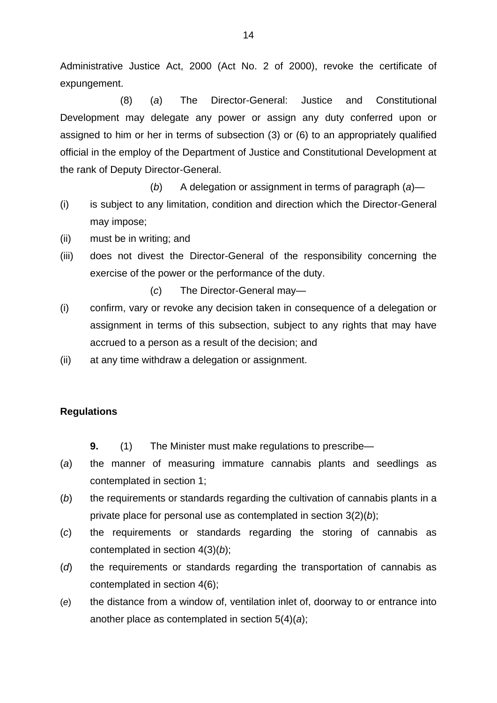Administrative Justice Act, 2000 (Act No. 2 of 2000), revoke the certificate of expungement.

(8) (*a*) The Director-General: Justice and Constitutional Development may delegate any power or assign any duty conferred upon or assigned to him or her in terms of subsection (3) or (6) to an appropriately qualified official in the employ of the Department of Justice and Constitutional Development at the rank of Deputy Director-General.

(*b*) A delegation or assignment in terms of paragraph (*a*)—

- (i) is subject to any limitation, condition and direction which the Director-General may impose;
- (ii) must be in writing; and
- (iii) does not divest the Director-General of the responsibility concerning the exercise of the power or the performance of the duty.
	- (*c*) The Director-General may—
- (i) confirm, vary or revoke any decision taken in consequence of a delegation or assignment in terms of this subsection, subject to any rights that may have accrued to a person as a result of the decision; and
- (ii) at any time withdraw a delegation or assignment.

#### **Regulations**

- **9.** (1) The Minister must make regulations to prescribe—
- (*a*) the manner of measuring immature cannabis plants and seedlings as contemplated in section 1;
- (*b*) the requirements or standards regarding the cultivation of cannabis plants in a private place for personal use as contemplated in section 3(2)(*b*);
- (*c*) the requirements or standards regarding the storing of cannabis as contemplated in section 4(3)(*b*);
- (*d*) the requirements or standards regarding the transportation of cannabis as contemplated in section 4(6);
- (*e*) the distance from a window of, ventilation inlet of, doorway to or entrance into another place as contemplated in section 5(4)(*a*);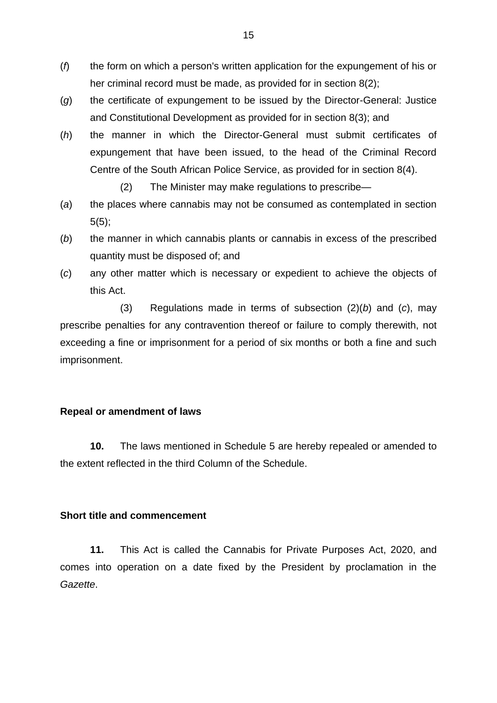- (*f*) the form on which a person's written application for the expungement of his or her criminal record must be made, as provided for in section 8(2);
- (*g*) the certificate of expungement to be issued by the Director-General: Justice and Constitutional Development as provided for in section 8(3); and
- (*h*) the manner in which the Director-General must submit certificates of expungement that have been issued, to the head of the Criminal Record Centre of the South African Police Service, as provided for in section 8(4).
	- (2) The Minister may make regulations to prescribe—
- (*a*) the places where cannabis may not be consumed as contemplated in section  $5(5);$
- (*b*) the manner in which cannabis plants or cannabis in excess of the prescribed quantity must be disposed of; and
- (*c*) any other matter which is necessary or expedient to achieve the objects of this Act.

(3) Regulations made in terms of subsection (2)(*b*) and (*c*), may prescribe penalties for any contravention thereof or failure to comply therewith, not exceeding a fine or imprisonment for a period of six months or both a fine and such imprisonment.

#### **Repeal or amendment of laws**

**10.** The laws mentioned in Schedule 5 are hereby repealed or amended to the extent reflected in the third Column of the Schedule.

#### **Short title and commencement**

**11.** This Act is called the Cannabis for Private Purposes Act, 2020, and comes into operation on a date fixed by the President by proclamation in the *Gazette*.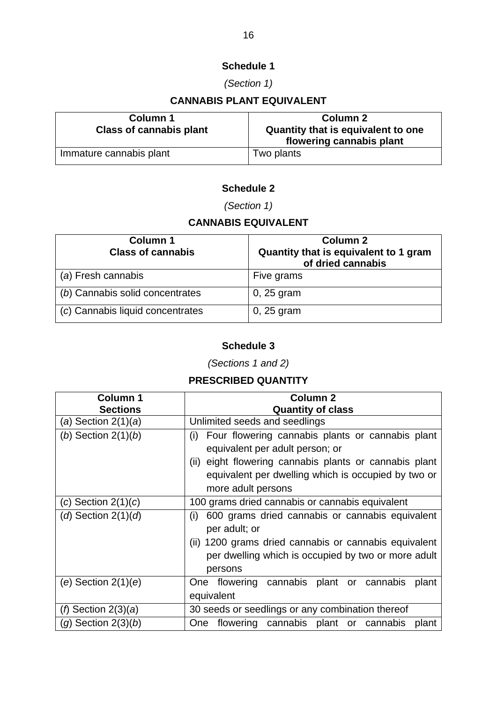## **Schedule 1**

## *(Section 1)*

## **CANNABIS PLANT EQUIVALENT**

| Column 1                       | <b>Column 2</b>                                                |
|--------------------------------|----------------------------------------------------------------|
| <b>Class of cannabis plant</b> | Quantity that is equivalent to one<br>flowering cannabis plant |
| Immature cannabis plant        | Two plants                                                     |

## **Schedule 2**

*(Section 1)*

## **CANNABIS EQUIVALENT**

| Column 1<br><b>Class of cannabis</b> | Column <sub>2</sub><br>Quantity that is equivalent to 1 gram<br>of dried cannabis |
|--------------------------------------|-----------------------------------------------------------------------------------|
| (a) Fresh cannabis                   | Five grams                                                                        |
| (b) Cannabis solid concentrates      | $0, 25$ gram                                                                      |
| (c) Cannabis liquid concentrates     | $0, 25$ gram                                                                      |

## **Schedule 3**

*(Sections 1 and 2)*

## **PRESCRIBED QUANTITY**

| <b>Column 1</b><br><b>Sections</b> | Column <sub>2</sub><br><b>Quantity of class</b>                                                                                                                                                                                   |
|------------------------------------|-----------------------------------------------------------------------------------------------------------------------------------------------------------------------------------------------------------------------------------|
| (a) Section $2(1)(a)$              | Unlimited seeds and seedlings                                                                                                                                                                                                     |
| (b) Section $2(1)(b)$              | Four flowering cannabis plants or cannabis plant<br>(i)<br>equivalent per adult person; or<br>(ii) eight flowering cannabis plants or cannabis plant<br>equivalent per dwelling which is occupied by two or<br>more adult persons |
| $(c)$ Section $2(1)(c)$            | 100 grams dried cannabis or cannabis equivalent                                                                                                                                                                                   |
| ( $d$ ) Section 2(1)( $d$ )        | 600 grams dried cannabis or cannabis equivalent<br>(i)<br>per adult; or<br>(ii) 1200 grams dried cannabis or cannabis equivalent<br>per dwelling which is occupied by two or more adult<br>persons                                |
| (e) Section $2(1)(e)$              | One flowering cannabis plant or cannabis<br>plant<br>equivalent                                                                                                                                                                   |
| ( $\beta$ ) Section 2(3)(a)        | 30 seeds or seedlings or any combination thereof                                                                                                                                                                                  |
| $(g)$ Section $2(3)(b)$            | flowering cannabis plant or cannabis<br><b>One</b><br>plant                                                                                                                                                                       |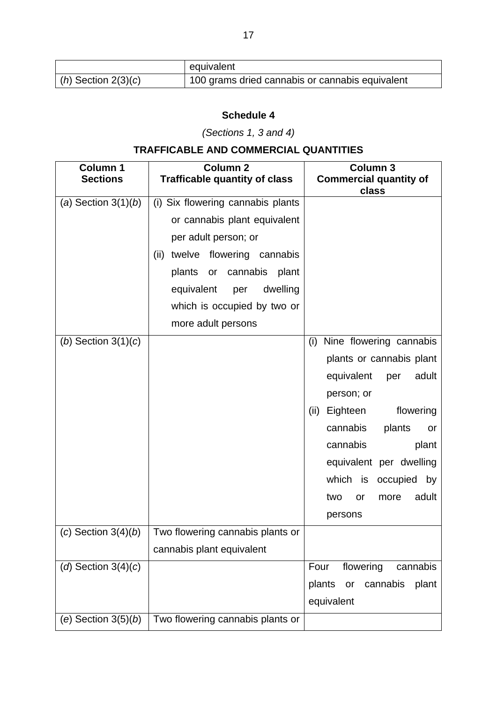|                       | equivalent                                      |
|-----------------------|-------------------------------------------------|
| $(h)$ Section 2(3)(c) | 100 grams dried cannabis or cannabis equivalent |

## **Schedule 4**

*(Sections 1, 3 and 4)*

# **TRAFFICABLE AND COMMERCIAL QUANTITIES**

| <b>Column 1</b><br><b>Sections</b> | <b>Column 2</b><br><b>Trafficable quantity of class</b> | <b>Column 3</b><br><b>Commercial quantity of</b><br>class |
|------------------------------------|---------------------------------------------------------|-----------------------------------------------------------|
| (a) Section $3(1)(b)$              | (i) Six flowering cannabis plants                       |                                                           |
|                                    | or cannabis plant equivalent                            |                                                           |
|                                    | per adult person; or                                    |                                                           |
|                                    | twelve flowering cannabis<br>(ii)                       |                                                           |
|                                    | cannabis<br>plants<br>plant<br>or                       |                                                           |
|                                    | equivalent<br>dwelling<br>per                           |                                                           |
|                                    | which is occupied by two or                             |                                                           |
|                                    | more adult persons                                      |                                                           |
| (b) Section $3(1)(c)$              |                                                         | Nine flowering cannabis<br>(i)                            |
|                                    |                                                         | plants or cannabis plant                                  |
|                                    |                                                         | equivalent<br>adult<br>per                                |
|                                    |                                                         | person; or                                                |
|                                    |                                                         | flowering<br>(ii)<br>Eighteen                             |
|                                    |                                                         | cannabis<br>plants<br>or                                  |
|                                    |                                                         | cannabis<br>plant                                         |
|                                    |                                                         | equivalent per dwelling                                   |
|                                    |                                                         | which is occupied by                                      |
|                                    |                                                         | adult<br>two<br>more<br>or                                |
|                                    |                                                         | persons                                                   |
| $(c)$ Section 3(4) $(b)$           | Two flowering cannabis plants or                        |                                                           |
|                                    | cannabis plant equivalent                               |                                                           |
| ( $d$ ) Section 3(4)( $c$ )        |                                                         | Four<br>flowering<br>cannabis                             |
|                                    |                                                         | plants<br>cannabis<br>plant<br>or                         |
|                                    |                                                         | equivalent                                                |
| (e) Section $3(5)(b)$              | Two flowering cannabis plants or                        |                                                           |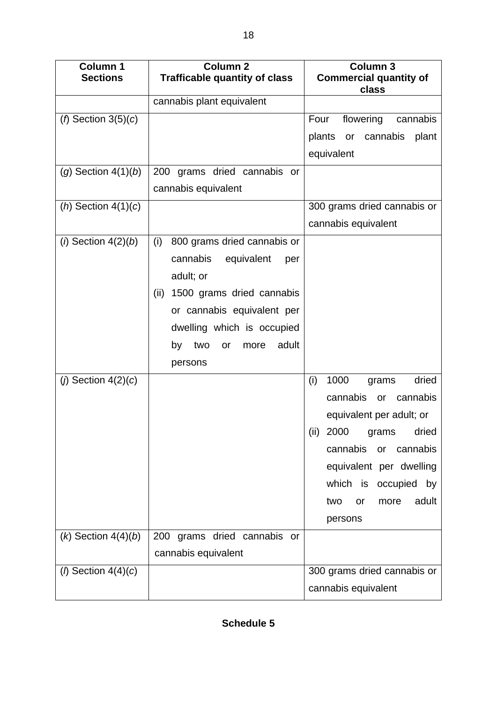| <b>Column 1</b><br><b>Sections</b> | <b>Column 2</b><br><b>Trafficable quantity of class</b> | Column <sub>3</sub><br><b>Commercial quantity of</b> |
|------------------------------------|---------------------------------------------------------|------------------------------------------------------|
|                                    |                                                         | class                                                |
|                                    | cannabis plant equivalent                               |                                                      |
| ( $f$ ) Section 3(5)( $c$ )        |                                                         | flowering<br>Four<br>cannabis                        |
|                                    |                                                         | plants or<br>cannabis<br>plant                       |
|                                    |                                                         | equivalent                                           |
| $(g)$ Section $4(1)(b)$            | 200 grams dried cannabis or                             |                                                      |
|                                    | cannabis equivalent                                     |                                                      |
| ( <i>h</i> ) Section $4(1)(c)$     |                                                         | 300 grams dried cannabis or                          |
|                                    |                                                         | cannabis equivalent                                  |
| $(i)$ Section $4(2)(b)$            | (i)<br>800 grams dried cannabis or                      |                                                      |
|                                    | cannabis<br>equivalent<br>per                           |                                                      |
|                                    | adult; or                                               |                                                      |
|                                    | 1500 grams dried cannabis<br>(ii)                       |                                                      |
|                                    | or cannabis equivalent per                              |                                                      |
|                                    | dwelling which is occupied                              |                                                      |
|                                    | adult<br>by<br>two<br>or<br>more                        |                                                      |
|                                    | persons                                                 |                                                      |
| ( $j$ ) Section 4(2)( $c$ )        |                                                         | (i)<br>1000<br>dried<br>grams                        |
|                                    |                                                         | cannabis<br>cannabis<br>or                           |
|                                    |                                                         | equivalent per adult; or                             |
|                                    |                                                         | 2000<br>(ii)<br>dried<br>grams                       |
|                                    |                                                         | cannabis or<br>cannabis                              |
|                                    |                                                         | equivalent per dwelling                              |
|                                    |                                                         | which is occupied by                                 |
|                                    |                                                         | adult<br>two<br>more<br>or                           |
|                                    |                                                         | persons                                              |
| $(k)$ Section $4(4)(b)$            | 200 grams dried cannabis or                             |                                                      |
|                                    | cannabis equivalent                                     |                                                      |
| ( $\ell$ ) Section 4(4)(c)         |                                                         | 300 grams dried cannabis or                          |
|                                    |                                                         | cannabis equivalent                                  |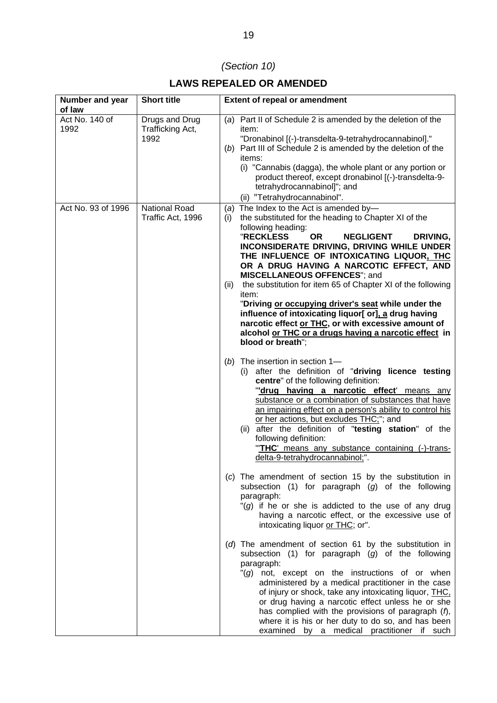# *(Section 10)*

## **LAWS REPEALED OR AMENDED**

| <b>Number and year</b><br>of law | <b>Short title</b>                         | <b>Extent of repeal or amendment</b>                                                                                                                                                                                                                                                                                                                                                                                                                                                                                                                                                                                                                                                                            |
|----------------------------------|--------------------------------------------|-----------------------------------------------------------------------------------------------------------------------------------------------------------------------------------------------------------------------------------------------------------------------------------------------------------------------------------------------------------------------------------------------------------------------------------------------------------------------------------------------------------------------------------------------------------------------------------------------------------------------------------------------------------------------------------------------------------------|
| Act No. 140 of<br>1992           | Drugs and Drug<br>Trafficking Act,<br>1992 | (a) Part II of Schedule 2 is amended by the deletion of the<br>item:<br>"Dronabinol [(-)-transdelta-9-tetrahydrocannabinol]."<br>(b) Part III of Schedule 2 is amended by the deletion of the<br>items:<br>(i) "Cannabis (dagga), the whole plant or any portion or<br>product thereof, except dronabinol [(-)-transdelta-9-<br>tetrahydrocannabinol]"; and<br>(ii) "Tetrahydrocannabinol".                                                                                                                                                                                                                                                                                                                     |
| Act No. 93 of 1996               | National Road<br>Traffic Act, 1996         | (a) The Index to the Act is amended by-<br>the substituted for the heading to Chapter XI of the<br>(i)<br>following heading:<br><b>"RECKLESS</b><br><b>OR</b><br><b>NEGLIGENT</b><br>DRIVING,<br>INCONSIDERATE DRIVING, DRIVING WHILE UNDER<br>THE INFLUENCE OF INTOXICATING LIQUOR, THC<br>OR A DRUG HAVING A NARCOTIC EFFECT, AND<br><b>MISCELLANEOUS OFFENCES"</b> ; and<br>the substitution for item 65 of Chapter XI of the following<br>(ii)<br>item:<br>"Driving or occupying driver's seat while under the<br>influence of intoxicating liquor[ or], a drug having<br>narcotic effect or THC, or with excessive amount of<br>alcohol or THC or a drugs having a narcotic effect in<br>blood or breath"; |
|                                  |                                            | The insertion in section 1-<br>(b)<br>(i) after the definition of "driving licence testing<br>centre" of the following definition:<br>"drug having a narcotic effect' means any<br>substance or a combination of substances that have<br>an impairing effect on a person's ability to control his<br>or her actions, but excludes THC;"; and<br>(ii) after the definition of "testing station" of the<br>following definition:<br>"THC' means any substance containing (-)-trans-<br>delta-9-tetrahydrocannabinol;".                                                                                                                                                                                            |
|                                  |                                            | (c) The amendment of section 15 by the substitution in<br>subsection (1) for paragraph $(g)$ of the following<br>paragraph:<br>"(g) if he or she is addicted to the use of any drug<br>having a narcotic effect, or the excessive use of<br>intoxicating liquor or THC; or".                                                                                                                                                                                                                                                                                                                                                                                                                                    |
|                                  |                                            | (d) The amendment of section 61 by the substitution in<br>subsection $(1)$ for paragraph $(g)$ of the following<br>paragraph:<br>"(g) not, except on the instructions of or when<br>administered by a medical practitioner in the case<br>of injury or shock, take any intoxicating liquor, THC,<br>or drug having a narcotic effect unless he or she<br>has complied with the provisions of paragraph $(f)$ ,<br>where it is his or her duty to do so, and has been<br>examined by a medical practitioner if such                                                                                                                                                                                              |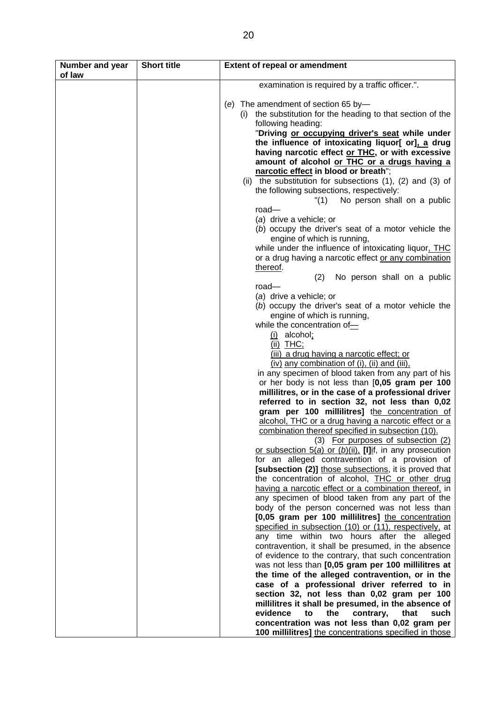| <b>Number and year</b><br>of law | <b>Short title</b> | <b>Extent of repeal or amendment</b>                                                                        |
|----------------------------------|--------------------|-------------------------------------------------------------------------------------------------------------|
|                                  |                    | examination is required by a traffic officer.".                                                             |
|                                  |                    | The amendment of section 65 by-<br>(e)                                                                      |
|                                  |                    | the substitution for the heading to that section of the<br>(i)                                              |
|                                  |                    | following heading:                                                                                          |
|                                  |                    | "Driving or occupying driver's seat while under                                                             |
|                                  |                    | the influence of intoxicating liquor[ or], a drug                                                           |
|                                  |                    | having narcotic effect or THC, or with excessive<br>amount of alcohol or THC or a drugs having a            |
|                                  |                    | narcotic effect in blood or breath";                                                                        |
|                                  |                    | (ii) the substitution for subsections $(1)$ , $(2)$ and $(3)$ of                                            |
|                                  |                    | the following subsections, respectively:                                                                    |
|                                  |                    | No person shall on a public<br>"(1)<br>road                                                                 |
|                                  |                    | (a) drive a vehicle; or                                                                                     |
|                                  |                    | (b) occupy the driver's seat of a motor vehicle the                                                         |
|                                  |                    | engine of which is running,                                                                                 |
|                                  |                    | while under the influence of intoxicating liquor, THC                                                       |
|                                  |                    | or a drug having a narcotic effect or any combination<br>thereof.                                           |
|                                  |                    | No person shall on a public<br>(2)                                                                          |
|                                  |                    | road                                                                                                        |
|                                  |                    | (a) drive a vehicle; or                                                                                     |
|                                  |                    | (b) occupy the driver's seat of a motor vehicle the<br>engine of which is running,                          |
|                                  |                    | while the concentration of-                                                                                 |
|                                  |                    | $(i)$ alcohol;                                                                                              |
|                                  |                    | $(ii)$ THC;                                                                                                 |
|                                  |                    | (iii) a drug having a narcotic effect; or                                                                   |
|                                  |                    | (iv) any combination of (i), (ii) and (iii),<br>in any specimen of blood taken from any part of his         |
|                                  |                    | or her body is not less than [0,05 gram per 100                                                             |
|                                  |                    | millilitres, or in the case of a professional driver                                                        |
|                                  |                    | referred to in section 32, not less than 0,02                                                               |
|                                  |                    | gram per 100 millilitres] the concentration of<br>alcohol, THC or a drug having a narcotic effect or a      |
|                                  |                    | combination thereof specified in subsection (10).                                                           |
|                                  |                    | (3) For purposes of subsection (2)                                                                          |
|                                  |                    | or subsection $5(a)$ or $(b)(ii)$ , [I]if, in any prosecution                                               |
|                                  |                    | for an alleged contravention of a provision of<br>[subsection (2)] those subsections, it is proved that     |
|                                  |                    | the concentration of alcohol, THC or other drug                                                             |
|                                  |                    | having a narcotic effect or a combination thereof, in                                                       |
|                                  |                    | any specimen of blood taken from any part of the                                                            |
|                                  |                    | body of the person concerned was not less than                                                              |
|                                  |                    | [0,05 gram per 100 millilitres] the concentration<br>specified in subsection (10) or (11), respectively, at |
|                                  |                    | any time within two hours after the alleged                                                                 |
|                                  |                    | contravention, it shall be presumed, in the absence                                                         |
|                                  |                    | of evidence to the contrary, that such concentration                                                        |
|                                  |                    | was not less than [0,05 gram per 100 millilitres at<br>the time of the alleged contravention, or in the     |
|                                  |                    | case of a professional driver referred to in                                                                |
|                                  |                    | section 32, not less than 0,02 gram per 100                                                                 |
|                                  |                    | millilitres it shall be presumed, in the absence of                                                         |
|                                  |                    | evidence<br>the<br>that<br>such<br>to<br>contrary,                                                          |
|                                  |                    | concentration was not less than 0,02 gram per<br>100 millilitres] the concentrations specified in those     |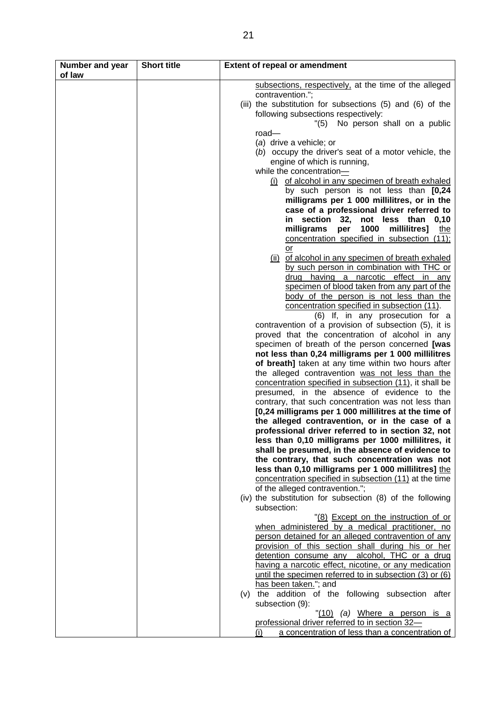| <b>Number and year</b><br>of law | <b>Short title</b> | <b>Extent of repeal or amendment</b>                                                                     |
|----------------------------------|--------------------|----------------------------------------------------------------------------------------------------------|
|                                  |                    | subsections, respectively, at the time of the alleged                                                    |
|                                  |                    | contravention.";                                                                                         |
|                                  |                    | (iii) the substitution for subsections $(5)$ and $(6)$ of the                                            |
|                                  |                    | following subsections respectively:                                                                      |
|                                  |                    | No person shall on a public<br>"(5)                                                                      |
|                                  |                    | $road -$                                                                                                 |
|                                  |                    | (a) drive a vehicle; or<br>(b) occupy the driver's seat of a motor vehicle, the                          |
|                                  |                    | engine of which is running,                                                                              |
|                                  |                    | while the concentration-                                                                                 |
|                                  |                    | (i) of alcohol in any specimen of breath exhaled                                                         |
|                                  |                    | by such person is not less than [0,24                                                                    |
|                                  |                    | milligrams per 1 000 millilitres, or in the                                                              |
|                                  |                    | case of a professional driver referred to                                                                |
|                                  |                    | not less<br>section<br>32,<br>than<br>0,10<br>in.                                                        |
|                                  |                    | milligrams<br>1000<br>millilitres]<br>per<br>the                                                         |
|                                  |                    | concentration specified in subsection (11);<br>or                                                        |
|                                  |                    | (ii) of alcohol in any specimen of breath exhaled                                                        |
|                                  |                    | by such person in combination with THC or                                                                |
|                                  |                    | having a narcotic effect in any<br>drug                                                                  |
|                                  |                    | specimen of blood taken from any part of the                                                             |
|                                  |                    | body of the person is not less than the                                                                  |
|                                  |                    | concentration specified in subsection (11).                                                              |
|                                  |                    | (6) If, in any prosecution for a                                                                         |
|                                  |                    | contravention of a provision of subsection (5), it is<br>proved that the concentration of alcohol in any |
|                                  |                    | specimen of breath of the person concerned [was                                                          |
|                                  |                    | not less than 0,24 milligrams per 1 000 millilitres                                                      |
|                                  |                    | of breath] taken at any time within two hours after                                                      |
|                                  |                    | the alleged contravention was not less than the                                                          |
|                                  |                    | concentration specified in subsection (11), it shall be                                                  |
|                                  |                    | presumed, in the absence of evidence to the<br>contrary, that such concentration was not less than       |
|                                  |                    | [0,24 milligrams per 1 000 millilitres at the time of                                                    |
|                                  |                    | the alleged contravention, or in the case of a                                                           |
|                                  |                    | professional driver referred to in section 32, not                                                       |
|                                  |                    | less than 0,10 milligrams per 1000 millilitres, it                                                       |
|                                  |                    | shall be presumed, in the absence of evidence to                                                         |
|                                  |                    | the contrary, that such concentration was not<br>less than 0,10 milligrams per 1 000 millilitres] the    |
|                                  |                    | concentration specified in subsection (11) at the time                                                   |
|                                  |                    | of the alleged contravention.";                                                                          |
|                                  |                    | (iv) the substitution for subsection (8) of the following                                                |
|                                  |                    | subsection:                                                                                              |
|                                  |                    | "(8) Except on the instruction of or                                                                     |
|                                  |                    | when administered by a medical practitioner, no<br>person detained for an alleged contravention of any   |
|                                  |                    | provision of this section shall during his or her                                                        |
|                                  |                    | alcohol, THC or a drug<br>detention consume any                                                          |
|                                  |                    | having a narcotic effect, nicotine, or any medication                                                    |
|                                  |                    | until the specimen referred to in subsection (3) or (6)                                                  |
|                                  |                    | has been taken."; and                                                                                    |
|                                  |                    | (v) the addition of the following subsection after<br>subsection (9):                                    |
|                                  |                    | "(10) (a) Where a person is a                                                                            |
|                                  |                    | professional driver referred to in section 32-                                                           |
|                                  |                    | a concentration of less than a concentration of<br>(i)                                                   |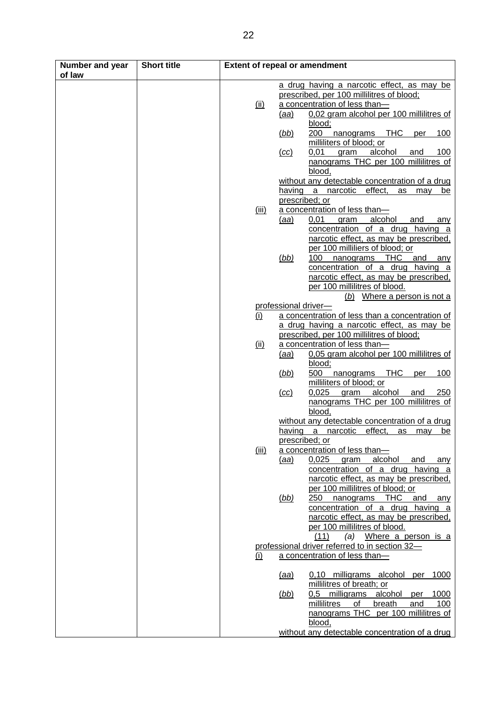| Number and year<br>of law | <b>Short title</b> |              | <b>Extent of repeal or amendment</b>                    |
|---------------------------|--------------------|--------------|---------------------------------------------------------|
|                           |                    |              |                                                         |
|                           |                    |              | a drug having a narcotic effect, as may be              |
|                           |                    |              | prescribed, per 100 millilitres of blood;               |
|                           |                    | <u>(ii)</u>  | a concentration of less than-                           |
|                           |                    |              | 0,02 gram alcohol per 100 millilitres of<br><u>(aa)</u> |
|                           |                    |              | blood;                                                  |
|                           |                    |              | 200<br>(bb)<br>nanograms THC<br>100<br>per              |
|                           |                    |              | milliliters of blood; or                                |
|                           |                    |              | 0,01<br>alcohol<br>and<br>100<br>(cc)<br>gram           |
|                           |                    |              | nanograms THC per 100 millilitres of                    |
|                           |                    |              | blood,                                                  |
|                           |                    |              | without any detectable concentration of a drug          |
|                           |                    |              | having a narcotic effect,<br>as<br>may be               |
|                           |                    |              | prescribed; or                                          |
|                           |                    | <u>(iii)</u> | a concentration of less than-                           |
|                           |                    |              | alcohol<br><u>(aa)</u><br>0,01<br>gram<br>and<br>any    |
|                           |                    |              | concentration of a drug having a                        |
|                           |                    |              | narcotic effect, as may be prescribed,                  |
|                           |                    |              | per 100 milliliers of blood; or                         |
|                           |                    |              | (bb)<br>100<br><b>THC</b><br>and<br>nanograms<br>any    |
|                           |                    |              | concentration of a drug having a                        |
|                           |                    |              | narcotic effect, as may be prescribed,                  |
|                           |                    |              | per 100 millilitres of blood.                           |
|                           |                    |              | (b) Where a person is not a                             |
|                           |                    |              | professional driver-                                    |
|                           |                    | <u>(i)</u>   | a concentration of less than a concentration of         |
|                           |                    |              | a drug having a narcotic effect, as may be              |
|                           |                    |              | prescribed, per 100 millilitres of blood;               |
|                           |                    | <u>(ii)</u>  | a concentration of less than-                           |
|                           |                    |              | 0,05 gram alcohol per 100 millilitres of<br><u>(aa)</u> |
|                           |                    |              | blood;                                                  |
|                           |                    |              | 500<br>(bb)<br><b>THC</b><br>100<br>nanograms<br>per    |
|                           |                    |              | milliliters of blood; or                                |
|                           |                    |              | 0,025<br>alcohol<br>gram<br>250<br>(cc)<br><u>and</u>   |
|                           |                    |              | nanograms THC per 100 millilitres of                    |
|                           |                    |              | blood,                                                  |
|                           |                    |              | without any detectable concentration of a drug          |
|                           |                    |              | having a narcotic effect, as may be                     |
|                           |                    |              | prescribed; or                                          |
|                           |                    | <u>(iii)</u> | a concentration of less than-                           |
|                           |                    |              | alcohol<br>(aa)<br>0,025<br>gram<br>and<br>any          |
|                           |                    |              | concentration of a drug having a                        |
|                           |                    |              | narcotic effect, as may be prescribed.                  |
|                           |                    |              | per 100 millilitres of blood; or                        |
|                           |                    |              | (bb)<br>250<br><b>THC</b><br>nanograms<br>and<br>any    |
|                           |                    |              | concentration of a drug having a                        |
|                           |                    |              | narcotic effect, as may be prescribed,                  |
|                           |                    |              | per 100 millilitres of blood.                           |
|                           |                    |              | (11)<br>(a) Where a person is a                         |
|                           |                    |              | professional driver referred to in section 32-          |
|                           |                    |              | a concentration of less than-                           |
|                           |                    | <u>(i)</u>   |                                                         |
|                           |                    |              | 0,10 milligrams alcohol<br>1000<br>per<br><u>(aa)</u>   |
|                           |                    |              | millilitres of breath; or                               |
|                           |                    |              | alcohol<br>milligrams<br>1000<br>(bb)<br>0,5<br>per     |
|                           |                    |              | millilitres<br>οf<br>breath<br>and                      |
|                           |                    |              | 100                                                     |
|                           |                    |              | nanograms THC per 100 millilitres of                    |
|                           |                    |              | blood,                                                  |
|                           |                    |              | without any detectable concentration of a drug          |